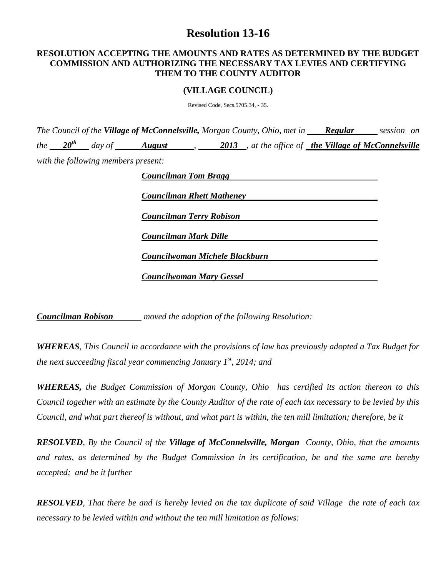# **Resolution 13-16**

### **RESOLUTION ACCEPTING THE AMOUNTS AND RATES AS DETERMINED BY THE BUDGET COMMISSION AND AUTHORIZING THE NECESSARY TAX LEVIES AND CERTIFYING THEM TO THE COUNTY AUDITOR**

#### **(VILLAGE COUNCIL)**

Revised Code, Secs.5705.34, - 35.

*The Council of the Village of McConnelsville, Morgan County, Ohio, met in Regular session on the 20th day of August , 2013 , at the office of the Village of McConnelsville with the following members present:*

| <b>Councilman Rhett Matheney</b> |  |  |
|----------------------------------|--|--|
| <b>Councilman Terry Robison</b>  |  |  |
| <b>Councilman Mark Dille</b>     |  |  |
| Councilwoman Michele Blackburn   |  |  |

*Councilman Robison moved the adoption of the following Resolution:*

*WHEREAS, This Council in accordance with the provisions of law has previously adopted a Tax Budget for the next succeeding fiscal year commencing January 1st , 2014; and*

*WHEREAS, the Budget Commission of Morgan County, Ohio has certified its action thereon to this Council together with an estimate by the County Auditor of the rate of each tax necessary to be levied by this Council, and what part thereof is without, and what part is within, the ten mill limitation; therefore, be it*

*RESOLVED, By the Council of the Village of McConnelsville, Morgan County, Ohio, that the amounts and rates, as determined by the Budget Commission in its certification, be and the same are hereby accepted; and be it further*

*RESOLVED, That there be and is hereby levied on the tax duplicate of said Village the rate of each tax necessary to be levied within and without the ten mill limitation as follows:*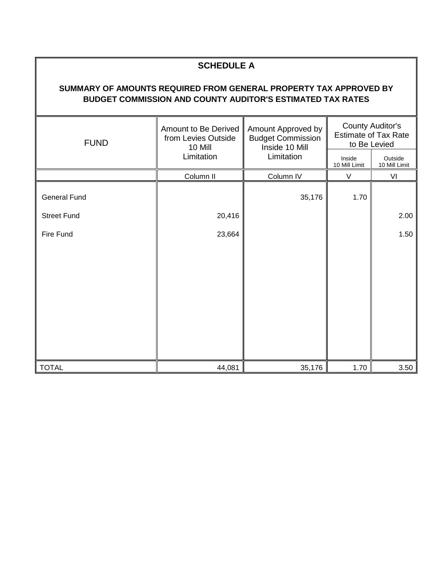## **SCHEDULE A**

## **SUMMARY OF AMOUNTS REQUIRED FROM GENERAL PROPERTY TAX APPROVED BY BUDGET COMMISSION AND COUNTY AUDITOR'S ESTIMATED TAX RATES**

| <b>FUND</b>         | Amount to Be Derived<br>from Levies Outside<br>10 Mill | Amount Approved by<br><b>Budget Commission</b><br>Inside 10 Mill | <b>County Auditor's</b><br><b>Estimate of Tax Rate</b><br>to Be Levied |                          |
|---------------------|--------------------------------------------------------|------------------------------------------------------------------|------------------------------------------------------------------------|--------------------------|
|                     | Limitation                                             | Limitation                                                       | Inside<br>10 Mill Limit                                                | Outside<br>10 Mill Limit |
|                     | Column II                                              | Column IV                                                        | $\vee$                                                                 | VI                       |
| <b>General Fund</b> |                                                        | 35,176                                                           | 1.70                                                                   |                          |
| <b>Street Fund</b>  | 20,416                                                 |                                                                  |                                                                        | 2.00                     |
| Fire Fund           | 23,664                                                 |                                                                  |                                                                        | 1.50                     |
|                     |                                                        |                                                                  |                                                                        |                          |
|                     |                                                        |                                                                  |                                                                        |                          |
|                     |                                                        |                                                                  |                                                                        |                          |
|                     |                                                        |                                                                  |                                                                        |                          |
|                     |                                                        |                                                                  |                                                                        |                          |
|                     |                                                        |                                                                  |                                                                        |                          |
|                     |                                                        |                                                                  |                                                                        |                          |
| <b>TOTAL</b>        | 44,081                                                 | 35,176                                                           | 1.70                                                                   | 3.50                     |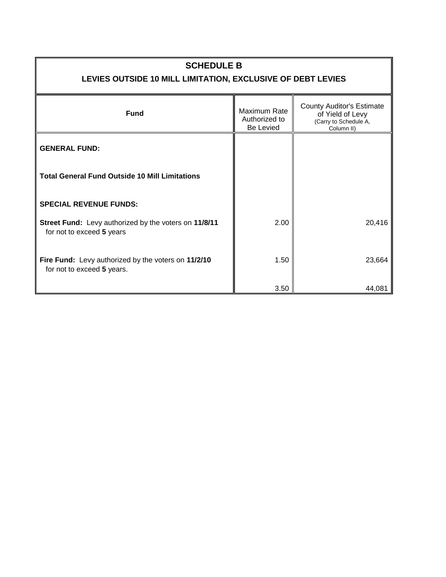## **SCHEDULE B**

# **LEVIES OUTSIDE 10 MILL LIMITATION, EXCLUSIVE OF DEBT LEVIES**

| <b>Fund</b>                                                                        | Maximum Rate<br>Authorized to<br>Be Levied | <b>County Auditor's Estimate</b><br>of Yield of Levy<br>(Carry to Schedule A,<br>Column II) |  |
|------------------------------------------------------------------------------------|--------------------------------------------|---------------------------------------------------------------------------------------------|--|
| <b>GENERAL FUND:</b>                                                               |                                            |                                                                                             |  |
| <b>Total General Fund Outside 10 Mill Limitations</b>                              |                                            |                                                                                             |  |
| <b>SPECIAL REVENUE FUNDS:</b>                                                      |                                            |                                                                                             |  |
| Street Fund: Levy authorized by the voters on 11/8/11<br>for not to exceed 5 years | 2.00                                       | 20,416                                                                                      |  |
| Fire Fund: Levy authorized by the voters on 11/2/10<br>for not to exceed 5 years.  | 1.50                                       | 23,664                                                                                      |  |
|                                                                                    | 3.50                                       | 44,081                                                                                      |  |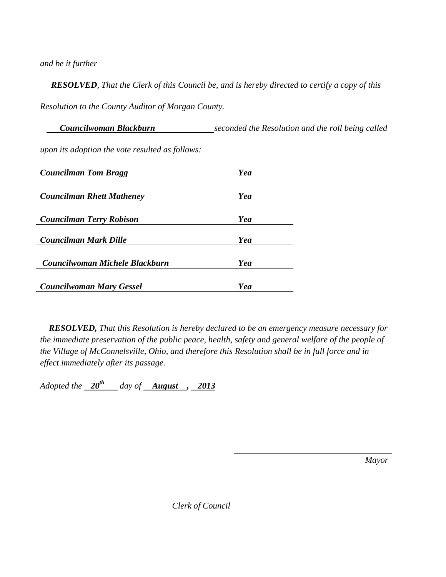*and be it further*

 *RESOLVED, That the Clerk of this Council be, and is hereby directed to certify a copy of this Resolution to the County Auditor of Morgan County.*

 *Councilwoman Blackburn seconded the Resolution and the roll being called upon its adoption the vote resulted as follows:*

| <b>Councilman Tom Bragg</b>      | Yea |
|----------------------------------|-----|
|                                  |     |
| <b>Councilman Rhett Matheney</b> | Yea |
|                                  |     |
| <b>Councilman Terry Robison</b>  | Yea |
|                                  |     |
| Councilman Mark Dille            | Yea |
|                                  |     |
| Councilwoman Michele Blackburn   | Yea |
|                                  |     |
| <b>Councilwoman Mary Gessel</b>  | Yea |

 *RESOLVED, That this Resolution is hereby declared to be an emergency measure necessary for the immediate preservation of the public peace, health, safety and general welfare of the people of the Village of McConnelsville, Ohio, and therefore this Resolution shall be in full force and in effect immediately after its passage.*

*Adopted the*  $\frac{20^{th}}{a}$  *day of August* , 2013

*Mayor*

*Clerk of Council*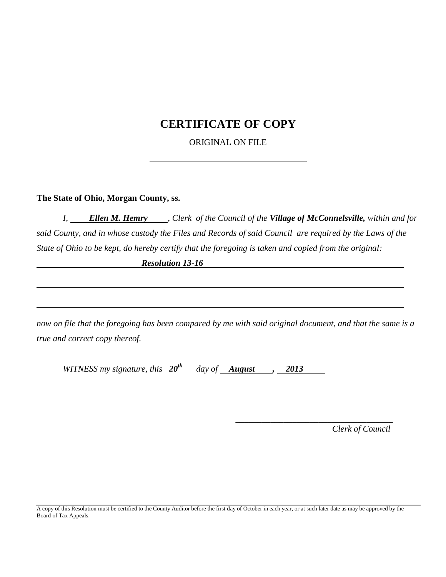## **CERTIFICATE OF COPY**

ORIGINAL ON FILE

**The State of Ohio, Morgan County, ss.**

*I, Ellen M. Hemry , Clerk of the Council of the Village of McConnelsville, within and for said County, and in whose custody the Files and Records of said Council are required by the Laws of the State of Ohio to be kept, do hereby certify that the foregoing is taken and copied from the original:*

*Resolution 13-16*

*now on file that the foregoing has been compared by me with said original document, and that the same is a true and correct copy thereof.*

*WITNESS my signature, this 20th day of August , 2013*

 *Clerk of Council*

 *\_\_\_\_\_\_\_\_\_\_\_\_\_\_\_\_\_\_\_\_\_\_\_\_\_\_\_\_\_\_\_\_\_\_\_\_*

A copy of this Resolution must be certified to the County Auditor before the first day of October in each year, or at such later date as may be approved by the Board of Tax Appeals.